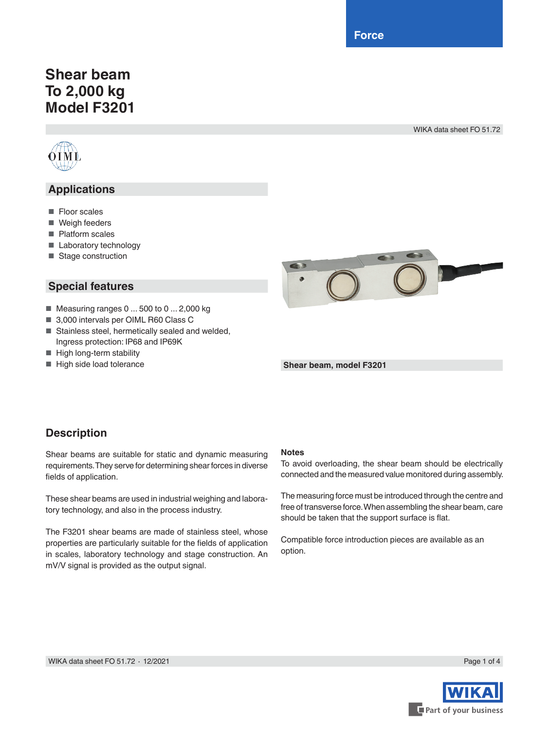**Force**

# **Shear beam To 2,000 kg Model F3201**

WIKA data sheet FO 51.72



# **Applications**

- Floor scales
- Weigh feeders
- Platform scales
- Laboratory technology
- Stage construction

# **Special features**

- Measuring ranges 0 ... 500 to 0 ... 2,000 kg
- 3,000 intervals per OIML R60 Class C
- Stainless steel, hermetically sealed and welded, Ingress protection: IP68 and IP69K
- High long-term stability
- High side load tolerance



**Shear beam, model F3201**

# **Description**

Shear beams are suitable for static and dynamic measuring requirements. They serve for determining shear forces in diverse fields of application.

These shear beams are used in industrial weighing and laboratory technology, and also in the process industry.

The F3201 shear beams are made of stainless steel, whose properties are particularly suitable for the fields of application in scales, laboratory technology and stage construction. An mV/V signal is provided as the output signal.

#### **Notes**

To avoid overloading, the shear beam should be electrically connected and the measured value monitored during assembly.

The measuring force must be introduced through the centre and free of transverse force. When assembling the shear beam, care should be taken that the support surface is flat.

Compatible force introduction pieces are available as an option.

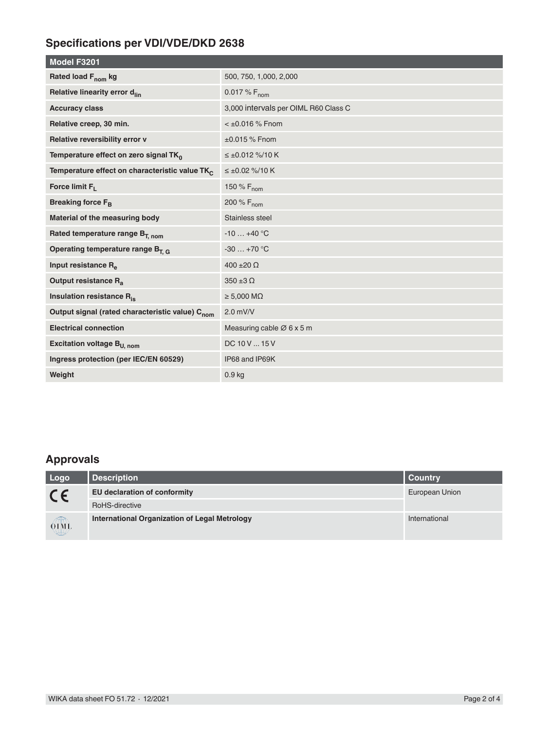# **Specifications per VDI/VDE/DKD 2638**

| Model F3201                                                 |                                       |
|-------------------------------------------------------------|---------------------------------------|
| Rated load F <sub>nom</sub> kg                              | 500, 750, 1,000, 2,000                |
| Relative linearity error d <sub>lin</sub>                   | 0.017 % $F_{\text{nom}}$              |
| <b>Accuracy class</b>                                       | 3,000 intervals per OIML R60 Class C  |
| Relative creep, 30 min.                                     | $< \pm 0.016$ % Fnom                  |
| Relative reversibility error v                              | $±0.015%$ Fnom                        |
| Temperature effect on zero signal TK <sub>0</sub>           | $\leq \pm 0.012$ %/10 K               |
| Temperature effect on characteristic value TK <sub>C</sub>  | $\leq \pm 0.02$ %/10 K                |
| Force limit $F_1$                                           | 150 % F <sub>nom</sub>                |
| Breaking force F <sub>B</sub>                               | 200 % $F_{nom}$                       |
| Material of the measuring body                              | Stainless steel                       |
| Rated temperature range B <sub>T. nom</sub>                 | $-10+40$ °C                           |
| Operating temperature range $B_{T,G}$                       | $-30+70$ °C                           |
| Input resistance R <sub>e</sub>                             | $400 \pm 20 \Omega$                   |
| Output resistance R <sub>a</sub>                            | $350 \pm 3 \Omega$                    |
| Insulation resistance R <sub>is</sub>                       | $\geq 5,000$ M $\Omega$               |
| Output signal (rated characteristic value) C <sub>nom</sub> | $2.0$ mV/V                            |
| <b>Electrical connection</b>                                | Measuring cable $\varnothing$ 6 x 5 m |
| Excitation voltage B <sub>U. nom</sub>                      | DC 10 V  15 V                         |
| Ingress protection (per IEC/EN 60529)                       | IP68 and IP69K                        |
| Weight                                                      | 0.9 <sub>kg</sub>                     |

# **Approvals**

| Logo        | Description                                   | l Countrv      |  |  |
|-------------|-----------------------------------------------|----------------|--|--|
| $C \in$     | EU declaration of conformity                  | European Union |  |  |
|             | RoHS-directive                                |                |  |  |
| <b>OIML</b> | International Organization of Legal Metrology | International  |  |  |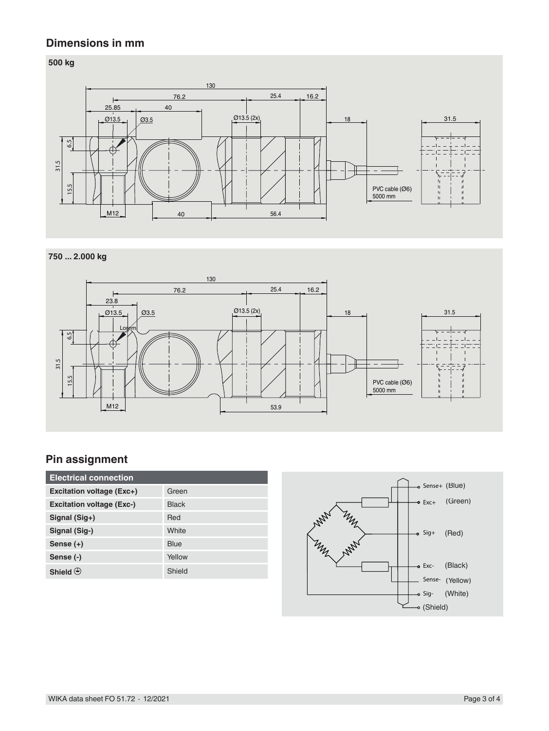## **Dimensions in mm**

### **500 kg**



#### **750 ... 2.000 kg**



# **Pin assignment**

| <b>Electrical connection</b>     |              |
|----------------------------------|--------------|
| Excitation voltage (Exc+)        | Green        |
| <b>Excitation voltage (Exc-)</b> | <b>Black</b> |
| Signal (Sig+)                    | Red          |
| Signal (Sig-)                    | White        |
| Sense $(+)$                      | <b>Blue</b>  |
| Sense (-)                        | Yellow       |
| Shield $\bigoplus$               | Shield       |